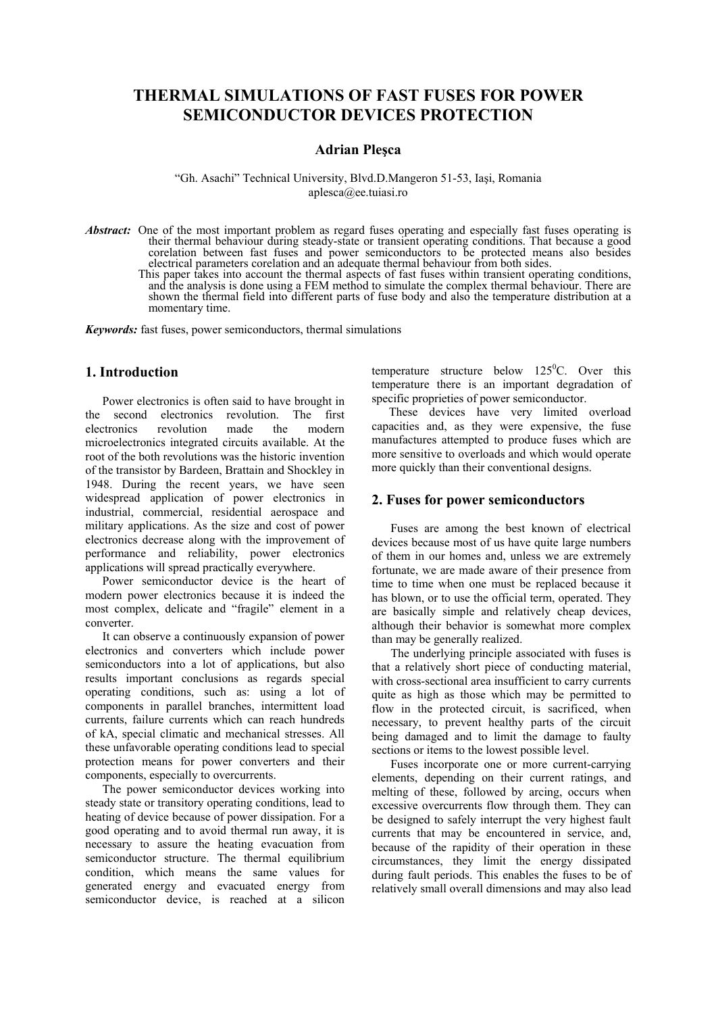# **THERMAL SIMULATIONS OF FAST FUSES FOR POWER SEMICONDUCTOR DEVICES PROTECTION**

#### **Adrian Pleşca**

"Gh. Asachi" Technical University, Blvd.D.Mangeron 51-53, Iaşi, Romania aplesca@ee.tuiasi.ro

- *Abstract:* One of the most important problem as regard fuses operating and especially fast fuses operating is their thermal behaviour during steady-state or transient operating conditions. That because a good corelation between fast fuses and power semiconductors to be protected means also besides electrical parameters corelation and an adequate thermal behaviour from both sides.
	- This paper takes into account the thermal aspects of fast fuses within transient operating conditions, and the analysis is done using a FEM method to simulate the complex thermal behaviour. There are shown the thermal field into different parts of fuse body and also the temperature distribution at a momentary time.

*Keywords:* fast fuses, power semiconductors, thermal simulations

## **1. Introduction**

Power electronics is often said to have brought in the second electronics revolution. The first electronics revolution made the modern microelectronics integrated circuits available. At the root of the both revolutions was the historic invention of the transistor by Bardeen, Brattain and Shockley in 1948. During the recent years, we have seen widespread application of power electronics in industrial, commercial, residential aerospace and military applications. As the size and cost of power electronics decrease along with the improvement of performance and reliability, power electronics applications will spread practically everywhere.

Power semiconductor device is the heart of modern power electronics because it is indeed the most complex, delicate and "fragile" element in a converter.

It can observe a continuously expansion of power electronics and converters which include power semiconductors into a lot of applications, but also results important conclusions as regards special operating conditions, such as: using a lot of components in parallel branches, intermittent load currents, failure currents which can reach hundreds of kA, special climatic and mechanical stresses. All these unfavorable operating conditions lead to special protection means for power converters and their components, especially to overcurrents.

The power semiconductor devices working into steady state or transitory operating conditions, lead to heating of device because of power dissipation. For a good operating and to avoid thermal run away, it is necessary to assure the heating evacuation from semiconductor structure. The thermal equilibrium condition, which means the same values for generated energy and evacuated energy from semiconductor device, is reached at a silicon

temperature structure below  $125^{\circ}$ C. Over this temperature there is an important degradation of specific proprieties of power semiconductor.

These devices have very limited overload capacities and, as they were expensive, the fuse manufactures attempted to produce fuses which are more sensitive to overloads and which would operate more quickly than their conventional designs.

### **2. Fuses for power semiconductors**

Fuses are among the best known of electrical devices because most of us have quite large numbers of them in our homes and, unless we are extremely fortunate, we are made aware of their presence from time to time when one must be replaced because it has blown, or to use the official term, operated. They are basically simple and relatively cheap devices, although their behavior is somewhat more complex than may be generally realized.

The underlying principle associated with fuses is that a relatively short piece of conducting material, with cross-sectional area insufficient to carry currents quite as high as those which may be permitted to flow in the protected circuit, is sacrificed, when necessary, to prevent healthy parts of the circuit being damaged and to limit the damage to faulty sections or items to the lowest possible level.

Fuses incorporate one or more current-carrying elements, depending on their current ratings, and melting of these, followed by arcing, occurs when excessive overcurrents flow through them. They can be designed to safely interrupt the very highest fault currents that may be encountered in service, and, because of the rapidity of their operation in these circumstances, they limit the energy dissipated during fault periods. This enables the fuses to be of relatively small overall dimensions and may also lead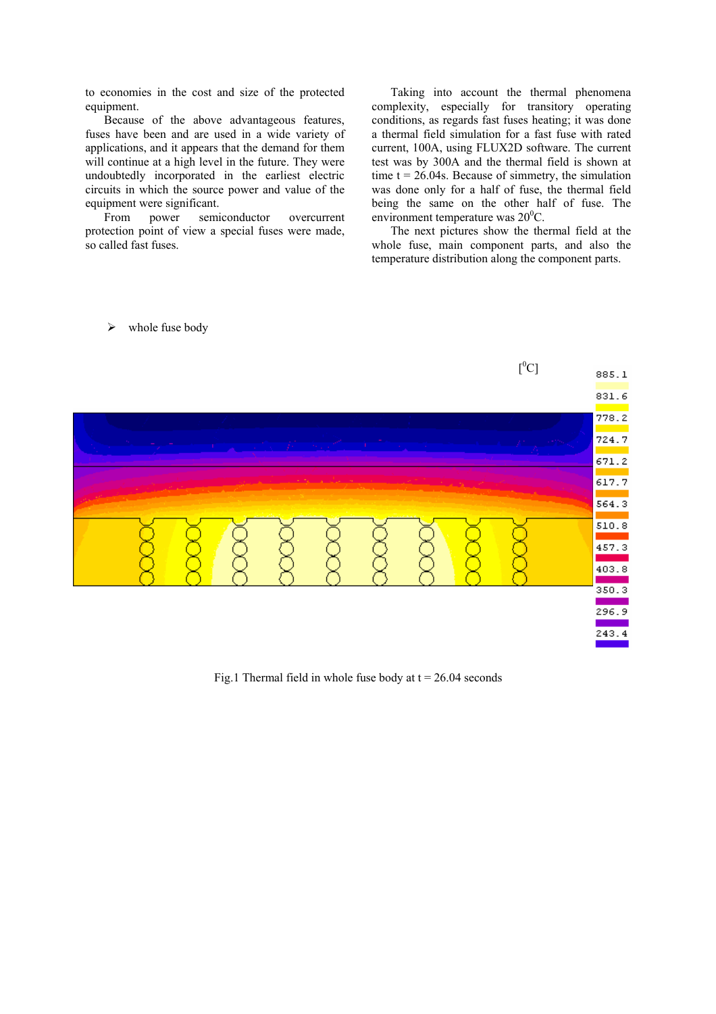to economies in the cost and size of the protected equipment.

Because of the above advantageous features, fuses have been and are used in a wide variety of applications, and it appears that the demand for them will continue at a high level in the future. They were undoubtedly incorporated in the earliest electric circuits in which the source power and value of the equipment were significant.

From power semiconductor overcurrent protection point of view a special fuses were made, so called fast fuses.

Taking into account the thermal phenomena complexity, especially for transitory operating conditions, as regards fast fuses heating; it was done a thermal field simulation for a fast fuse with rated current, 100A, using FLUX2D software. The current test was by 300A and the thermal field is shown at time  $t = 26.04s$ . Because of simmetry, the simulation was done only for a half of fuse, the thermal field being the same on the other half of fuse. The environment temperature was  $20^{\circ}$ C.

The next pictures show the thermal field at the whole fuse, main component parts, and also the temperature distribution along the component parts.

#### $\triangleright$  whole fuse body



Fig.1 Thermal field in whole fuse body at  $t = 26.04$  seconds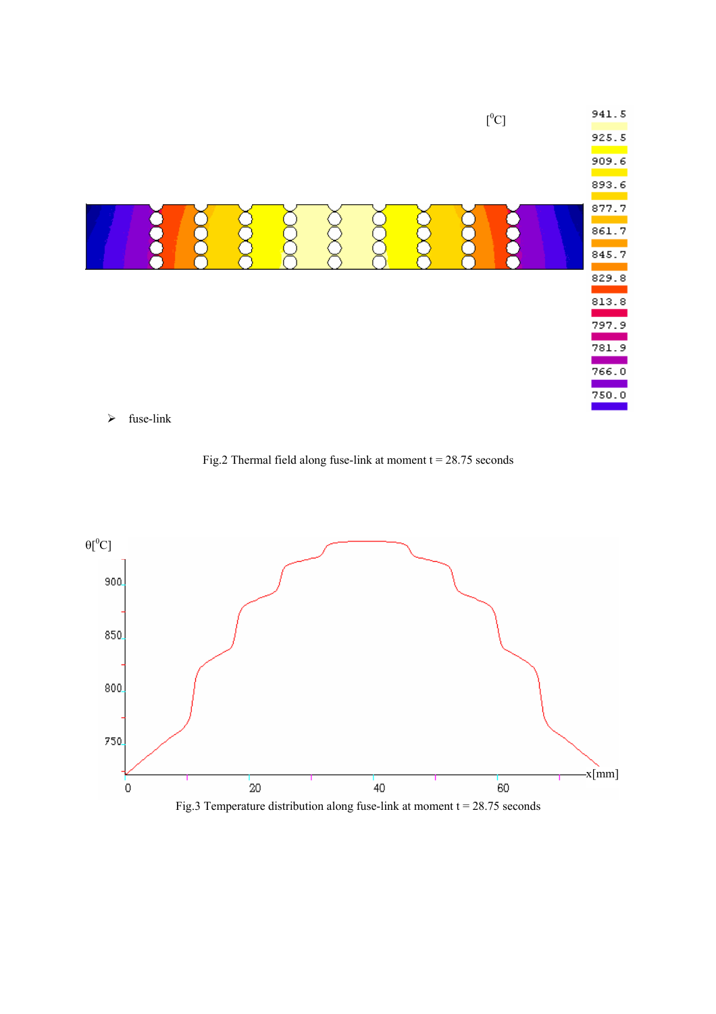

Fig.2 Thermal field along fuse-link at moment  $t = 28.75$  seconds



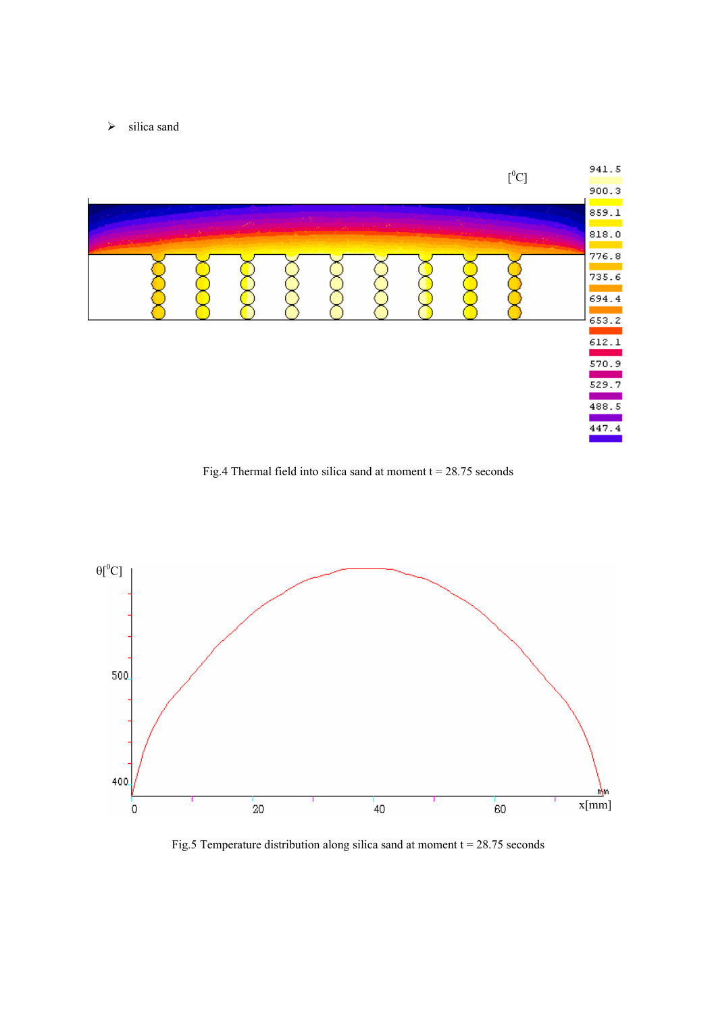$\triangleright$  silica sand



Fig.4 Thermal field into silica sand at moment  $t = 28.75$  seconds



Fig.5 Temperature distribution along silica sand at moment  $t = 28.75$  seconds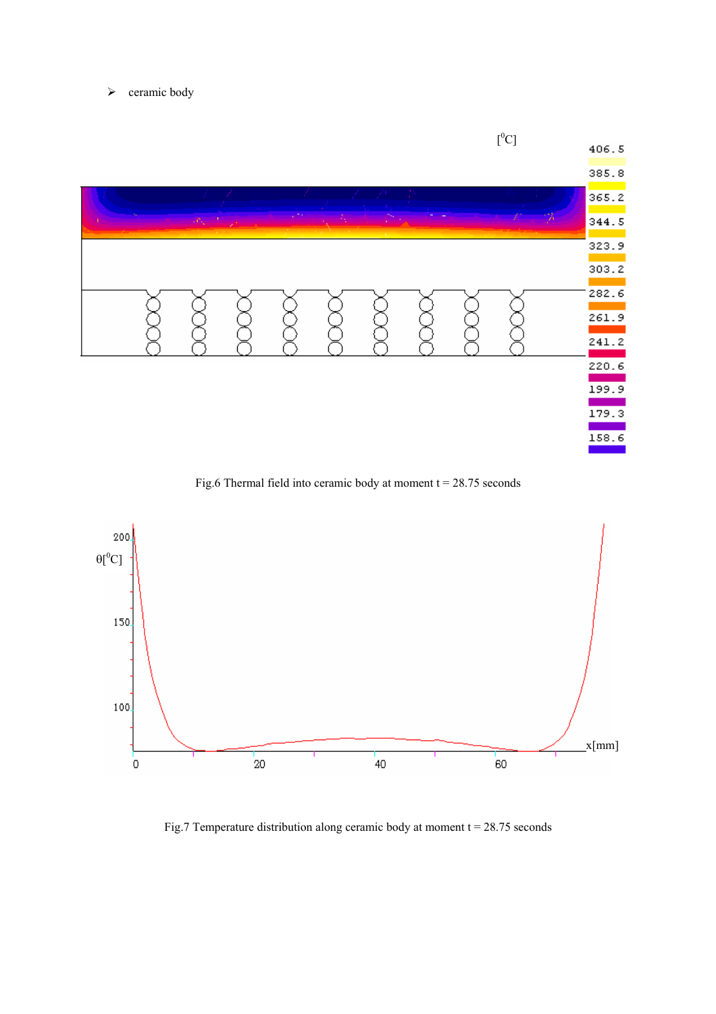$\triangleright$  ceramic body



Fig.6 Thermal field into ceramic body at moment  $t = 28.75$  seconds



Fig.7 Temperature distribution along ceramic body at moment  $t = 28.75$  seconds